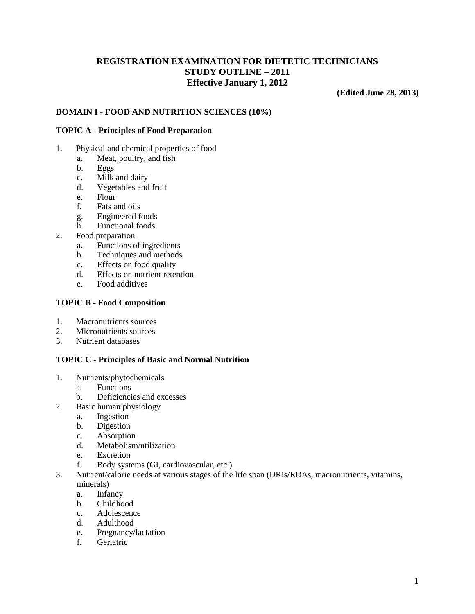# **REGISTRATION EXAMINATION FOR DIETETIC TECHNICIANS STUDY OUTLINE – 2011 Effective January 1, 2012**

**(Edited June 28, 2013)**

# **DOMAIN I - FOOD AND NUTRITION SCIENCES (10%)**

#### **TOPIC A - Principles of Food Preparation**

- 1. Physical and chemical properties of food
	- a. Meat, poultry, and fish
	- b. Eggs
	- c. Milk and dairy
	- d. Vegetables and fruit
	- e. Flour
	- f. Fats and oils
	- g. Engineered foods
	- h. Functional foods
- 2. Food preparation
	- a. Functions of ingredients
	- b. Techniques and methods
	- c. Effects on food quality
	- d. Effects on nutrient retention
	- e. Food additives

### **TOPIC B - Food Composition**

- 1. Macronutrients sources
- 2. Micronutrients sources
- 3. Nutrient databases

#### **TOPIC C - Principles of Basic and Normal Nutrition**

- 1. Nutrients/phytochemicals
	- a. Functions
	- b. Deficiencies and excesses
- 2. Basic human physiology
	- a. Ingestion
	- b. Digestion
	- c. Absorption
	- d. Metabolism/utilization
	- e. Excretion
	- f. Body systems (GI, cardiovascular, etc.)
- 3. Nutrient/calorie needs at various stages of the life span (DRIs/RDAs, macronutrients, vitamins, minerals)
	- a. Infancy
	- b. Childhood
	- c. Adolescence
	- d. Adulthood
	- e. Pregnancy/lactation
	- f. Geriatric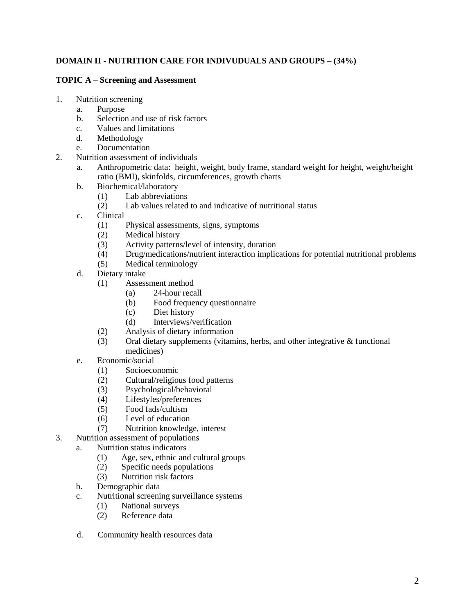# **DOMAIN II - NUTRITION CARE FOR INDIVUDUALS AND GROUPS – (34%)**

### **TOPIC A – Screening and Assessment**

- 1. Nutrition screening
	- a. Purpose
	- b. Selection and use of risk factors
	- c. Values and limitations
	- d. Methodology
	- e. Documentation
- 2. Nutrition assessment of individuals
	- a. Anthropometric data: height, weight, body frame, standard weight for height, weight/height ratio (BMI), skinfolds, circumferences, growth charts
	- b. Biochemical/laboratory
		- (1) Lab abbreviations
		- (2) Lab values related to and indicative of nutritional status
	- c. Clinical
		- (1) Physical assessments, signs, symptoms
		- (2) Medical history
		- (3) Activity patterns/level of intensity, duration
		- (4) Drug/medications/nutrient interaction implications for potential nutritional problems
		- (5) Medical terminology
	- d. Dietary intake
		- (1) Assessment method
			- (a) 24-hour recall
			- (b) Food frequency questionnaire
			- (c) Diet history
			- (d) Interviews/verification
		- (2) Analysis of dietary information
		- (3) Oral dietary supplements (vitamins, herbs, and other integrative & functional medicines)
	- e. Economic/social
		- (1) Socioeconomic
		- (2) Cultural/religious food patterns
		- (3) Psychological/behavioral
		- (4) Lifestyles/preferences
		- (5) Food fads/cultism
		- (6) Level of education
		- (7) Nutrition knowledge, interest
- 3. Nutrition assessment of populations
	- a. Nutrition status indicators
		- (1) Age, sex, ethnic and cultural groups
		- (2) Specific needs populations
		- (3) Nutrition risk factors
	- b. Demographic data
	- c. Nutritional screening surveillance systems
		- (1) National surveys
		- (2) Reference data
	- d. Community health resources data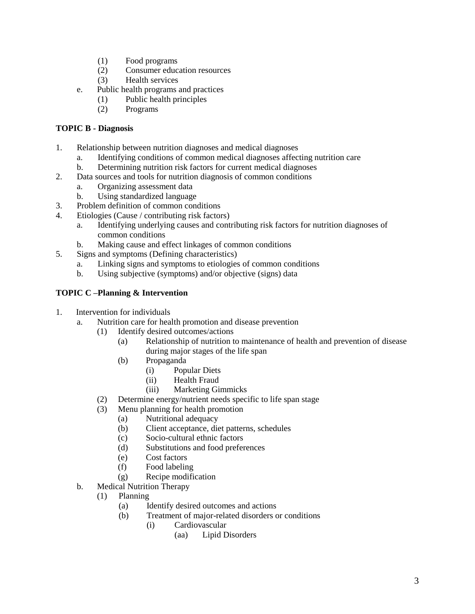- (1) Food programs
- (2) Consumer education resources
- (3) Health services
- e. Public health programs and practices
	- (1) Public health principles
	- (2) Programs

# **TOPIC B - Diagnosis**

- 1. Relationship between nutrition diagnoses and medical diagnoses
	- a. Identifying conditions of common medical diagnoses affecting nutrition care
	- b. Determining nutrition risk factors for current medical diagnoses
- 2. Data sources and tools for nutrition diagnosis of common conditions
	- a. Organizing assessment data
	- b. Using standardized language
- 3. Problem definition of common conditions
- 4. Etiologies (Cause / contributing risk factors)
	- a. Identifying underlying causes and contributing risk factors for nutrition diagnoses of common conditions
	- b. Making cause and effect linkages of common conditions
- 5. Signs and symptoms (Defining characteristics)
	- a. Linking signs and symptoms to etiologies of common conditions
	- b. Using subjective (symptoms) and/or objective (signs) data

# **TOPIC C –Planning & Intervention**

- 1. Intervention for individuals
	- a. Nutrition care for health promotion and disease prevention
		- (1) Identify desired outcomes/actions
			- (a) Relationship of nutrition to maintenance of health and prevention of disease during major stages of the life span
			- (b) Propaganda
				- (i) Popular Diets
				- (ii) Health Fraud
				- (iii) Marketing Gimmicks
		- (2) Determine energy/nutrient needs specific to life span stage
		- (3) Menu planning for health promotion
			- (a) Nutritional adequacy
			- (b) Client acceptance, diet patterns, schedules
			- (c) Socio-cultural ethnic factors
			- (d) Substitutions and food preferences
			- (e) Cost factors
			- (f) Food labeling
			- (g) Recipe modification
	- b. Medical Nutrition Therapy
		- (1) Planning
			- (a) Identify desired outcomes and actions
			- (b) Treatment of major-related disorders or conditions
				- (i) Cardiovascular
					- (aa) Lipid Disorders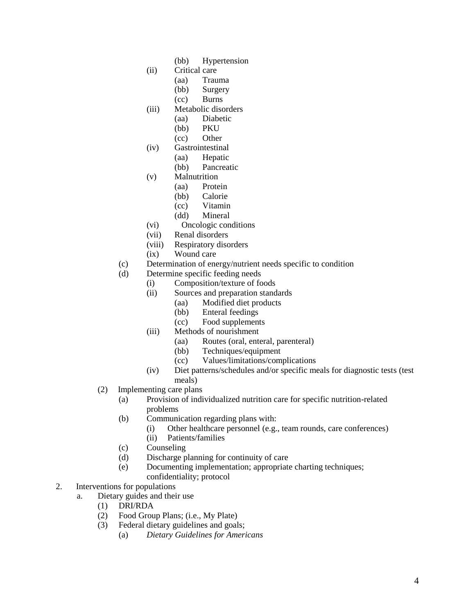- (bb) Hypertension
- (ii) Critical care
	- (aa) Trauma
		- (bb) Surgery
	- (cc) Burns
- (iii) Metabolic disorders
	- (aa) Diabetic
	- (bb) PKU
	- (cc) Other
- (iv) Gastrointestinal
	- (aa) Hepatic
	- (bb) Pancreatic
- (v) Malnutrition
	- (aa) Protein
	- (bb) Calorie
	- (cc) Vitamin
	- (dd) Mineral
- (vi) Oncologic conditions
- (vii) Renal disorders
- (viii) Respiratory disorders
- (ix) Wound care
- (c) Determination of energy/nutrient needs specific to condition
- (d) Determine specific feeding needs
	- (i) Composition/texture of foods
	- (ii) Sources and preparation standards
		- (aa) Modified diet products
			- (bb) Enteral feedings
			- (cc) Food supplements
	- (iii) Methods of nourishment
		- (aa) Routes (oral, enteral, parenteral)
		- (bb) Techniques/equipment
		- (cc) Values/limitations/complications
	- (iv) Diet patterns/schedules and/or specific meals for diagnostic tests (test meals)
- (2) Implementing care plans
	- (a) Provision of individualized nutrition care for specific nutrition-related problems
	- (b) Communication regarding plans with:
		- (i) Other healthcare personnel (e.g., team rounds, care conferences)
		- (ii) Patients/families
	- (c) Counseling
	- (d) Discharge planning for continuity of care
	- (e) Documenting implementation; appropriate charting techniques; confidentiality; protocol
- 2. Interventions for populations
	- a. Dietary guides and their use
		- (1) DRI/RDA
		- (2) Food Group Plans; (i.e., My Plate)
		- (3) Federal dietary guidelines and goals;
			- (a) *Dietary Guidelines for Americans*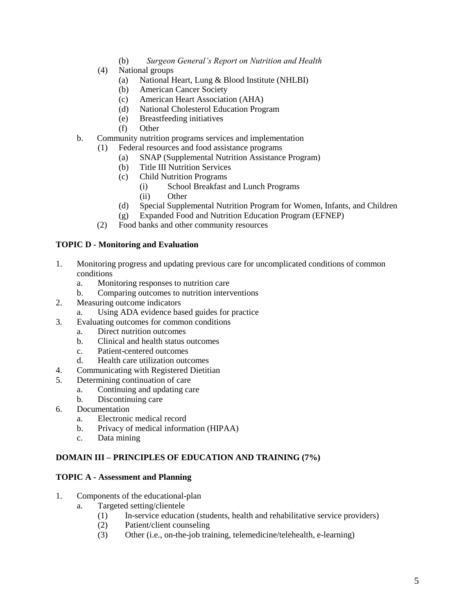- (b) *Surgeon General's Report on Nutrition and Health*
- (4) National groups
	- (a) National Heart, Lung & Blood Institute (NHLBI)
	- (b) American Cancer Society
	- (c) American Heart Association (AHA)
	- (d) National Cholesterol Education Program
	- (e) Breastfeeding initiatives
	- (f) Other
- b. Community nutrition programs services and implementation
	- (1) Federal resources and food assistance programs
		- (a) SNAP (Supplemental Nutrition Assistance Program)
		- (b) Title III Nutrition Services
		- (c) Child Nutrition Programs
			- (i) School Breakfast and Lunch Programs
			- (ii) Other
		- (d) Special Supplemental Nutrition Program for Women, Infants, and Children
		- (g) Expanded Food and Nutrition Education Program (EFNEP)
	- (2) Food banks and other community resources

### **TOPIC D - Monitoring and Evaluation**

- 1. Monitoring progress and updating previous care for uncomplicated conditions of common conditions
	- a. Monitoring responses to nutrition care
	- b. Comparing outcomes to nutrition interventions
- 2. Measuring outcome indicators
	- a. Using ADA evidence based guides for practice
- 3. Evaluating outcomes for common conditions
	- a. Direct nutrition outcomes
	- b. Clinical and health status outcomes
	- c. Patient-centered outcomes
	- d. Health care utilization outcomes
- 4. Communicating with Registered Dietitian
- 5. Determining continuation of care
	- a. Continuing and updating care
	- b. Discontinuing care
- 6. Documentation
	- a. Electronic medical record
	- b. Privacy of medical information (HIPAA)
	- c. Data mining

# **DOMAIN III – PRINCIPLES OF EDUCATION AND TRAINING (7%)**

#### **TOPIC A - Assessment and Planning**

- 1. Components of the educational-plan
	- a. Targeted setting/clientele
		- (1) In-service education (students, health and rehabilitative service providers)
		- (2) Patient/client counseling
		- (3) Other (i.e., on-the-job training, telemedicine/telehealth, e-learning)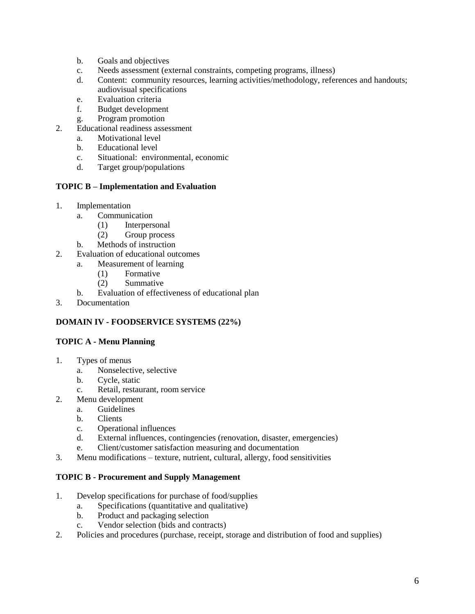- b. Goals and objectives
- c. Needs assessment (external constraints, competing programs, illness)
- d. Content: community resources, learning activities/methodology, references and handouts; audiovisual specifications
- e. Evaluation criteria
- f. Budget development
- g. Program promotion
- 2. Educational readiness assessment
	- a. Motivational level
	- b. Educational level
	- c. Situational: environmental, economic
	- d. Target group/populations

#### **TOPIC B – Implementation and Evaluation**

- 1. Implementation
	- a. Communication
		- (1) Interpersonal
		- (2) Group process
	- b. Methods of instruction
- 2. Evaluation of educational outcomes
	- a. Measurement of learning
		- (1) Formative
		- (2) Summative
	- b. Evaluation of effectiveness of educational plan
- 3. Documentation

# **DOMAIN IV - FOODSERVICE SYSTEMS (22%)**

# **TOPIC A - Menu Planning**

- 1. Types of menus
	- a. Nonselective, selective
	- b. Cycle, static
	- c. Retail, restaurant, room service
- 2. Menu development
	- a. Guidelines
	- b. Clients
	- c. Operational influences
	- d. External influences, contingencies (renovation, disaster, emergencies)
	- e. Client/customer satisfaction measuring and documentation
- 3. Menu modifications texture, nutrient, cultural, allergy, food sensitivities

#### **TOPIC B - Procurement and Supply Management**

- 1. Develop specifications for purchase of food/supplies
	- a. Specifications (quantitative and qualitative)
	- b. Product and packaging selection
	- c. Vendor selection (bids and contracts)
- 2. Policies and procedures (purchase, receipt, storage and distribution of food and supplies)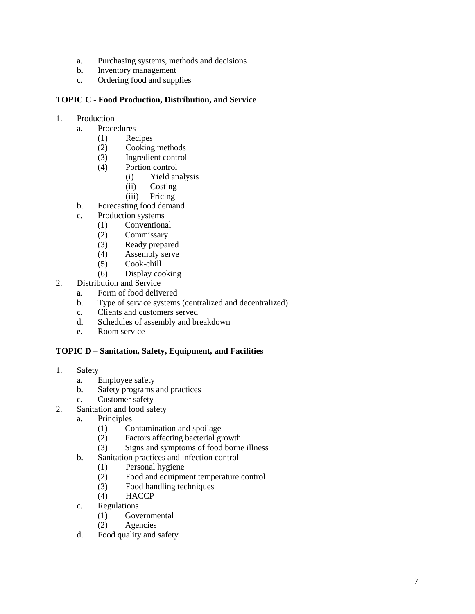- a. Purchasing systems, methods and decisions
- b. Inventory management
- c. Ordering food and supplies

#### **TOPIC C - Food Production, Distribution, and Service**

- 1. Production
	- a. Procedures
		- (1) Recipes
		- (2) Cooking methods
		- (3) Ingredient control
		- (4) Portion control
			- (i) Yield analysis
			- (ii) Costing
			- (iii) Pricing
	- b. Forecasting food demand
	- c. Production systems
		- (1) Conventional
		- (2) Commissary
		- (3) Ready prepared
		- (4) Assembly serve
		- (5) Cook chill
		- (6) Display cooking
- 2. Distribution and Service
	- a. Form of food delivered
	- b. Type of service systems (centralized and decentralized)
	- c. Clients and customers served
	- d. Schedules of assembly and breakdown
	- e. Room service

# **TOPIC D – Sanitation, Safety, Equipment, and Facilities**

- 1. Safety
	- a. Employee safety
	- b. Safety programs and practices
	- c. Customer safety
- 2. Sanitation and food safety
	- a. Principles
		- (1) Contamination and spoilage
		- (2) Factors affecting bacterial growth
		- (3) Signs and symptoms of food borne illness
	- b. Sanitation practices and infection control
		- (1) Personal hygiene
		- (2) Food and equipment temperature control
		- (3) Food handling techniques
		- (4) HACCP
	- c. Regulations
		- (1) Governmental
		- (2) Agencies
	- d. Food quality and safety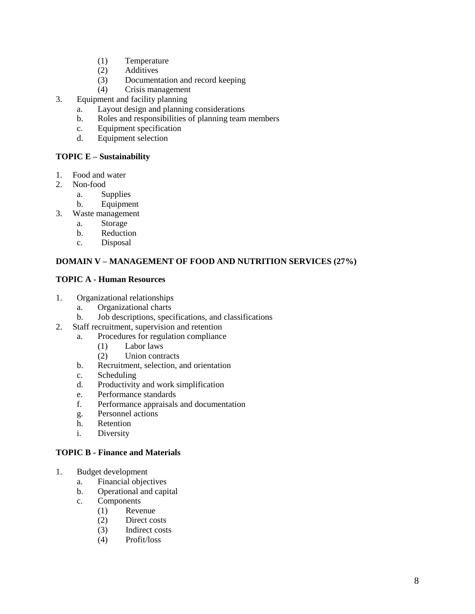- (1) Temperature
- (2) Additives
- (3) Documentation and record keeping
- (4) Crisis management
- 3. Equipment and facility planning
	- a. Layout design and planning considerations
	- b. Roles and responsibilities of planning team members
	- c. Equipment specification
	- d. Equipment selection

### **TOPIC E – Sustainability**

- 1. Food and water
- 2. Non-food
	- a. Supplies
	- b. Equipment
- 3. Waste management
	- a. Storage
	- b. Reduction
	- c. Disposal

### **DOMAIN V – MANAGEMENT OF FOOD AND NUTRITION SERVICES (27%)**

#### **TOPIC A - Human Resources**

- 1. Organizational relationships
	- a. Organizational charts
	- b. Job descriptions, specifications, and classifications
- 2. Staff recruitment, supervision and retention
	- a. Procedures for regulation compliance
		- (1) Labor laws
		- (2) Union contracts
	- b. Recruitment, selection, and orientation
	- c. Scheduling
	- d. Productivity and work simplification
	- e. Performance standards
	- f. Performance appraisals and documentation
	- g. Personnel actions
	- h. Retention
	- i. Diversity

#### **TOPIC B - Finance and Materials**

- 1. Budget development
	- a. Financial objectives
	- b. Operational and capital
	- c. Components
		- (1) Revenue
		- (2) Direct costs
		- (3) Indirect costs
		- (4) Profit/loss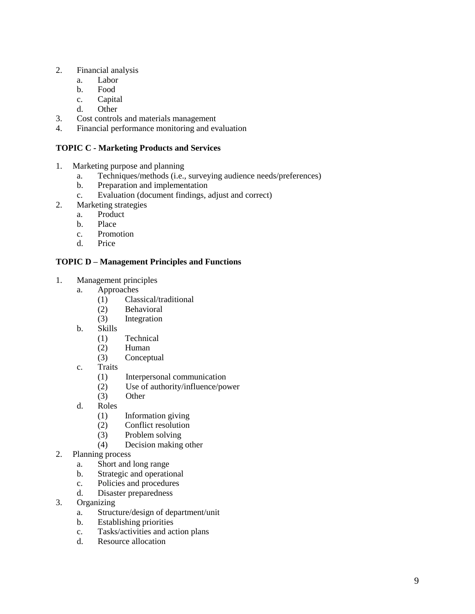- 2. Financial analysis
	- a. Labor
	- b. Food
	- c. Capital
	- d. Other
- 3. Cost controls and materials management
- 4. Financial performance monitoring and evaluation

# **TOPIC C - Marketing Products and Services**

- 1. Marketing purpose and planning
	- a. Techniques/methods (i.e., surveying audience needs/preferences)
	- b. Preparation and implementation
	- c. Evaluation (document findings, adjust and correct)
- 2. Marketing strategies
	- a. Product
	- b. Place
	- c. Promotion
	- d. Price

# **TOPIC D – Management Principles and Functions**

- 1. Management principles
	- a. Approaches
		- (1) Classical/traditional
		- (2) Behavioral
		- (3) Integration
	- b. Skills
		- (1) Technical
		- (2) Human
		- (3) Conceptual
	- c. Traits
		- (1) Interpersonal communication
		- (2) Use of authority/influence/power
		- (3) Other
	- d. Roles
		- (1) Information giving
		- (2) Conflict resolution
		- (3) Problem solving
		- (4) Decision making other
- 2. Planning process
	- a. Short and long range
	- b. Strategic and operational
	- c. Policies and procedures
	- d. Disaster preparedness
- 3. Organizing
	- a. Structure/design of department/unit
	- b. Establishing priorities
	- c. Tasks/activities and action plans
	- d. Resource allocation